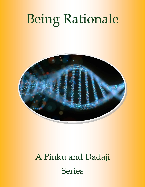# Being Rationale



# A Pinku and Dadaji Series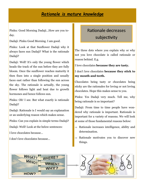#### *Rationale is mature knowledge*

Pinku: Good Morning Dadaji…How are you today.

Dadaji: Pinku Good Morning. I am good.

Pinku: Look at that Sunflower Dadaji why it always faces sun Dadaji? What is the rationale Dadaii?

Dadaji: Well! It's only the young flower which heads the track of the sun before they are fully bloom. Once the sunflower reaches maturity it then fixes into a single position and usually faces east rather than following the sun across the sky. The rationale is actually, the young flower follows light and heat due to growth hormones and hence follows sun.

Pinku: Oh! I see. But what exactly is rationale Dadaji?

Dadaji: Rationale is I would say an explanation or an underlying reason which makes sense.

Pinku: Can you explain in simple terms Dadaji?

Dadaji: Well! Look at the below sentences:

I love chocolates because…

I don't love chocolates because…

# Rationale decreases subjectivity

The three dots where you explain why or why not you love chocolate is called rationale or reason behind. E.g.

I love chocolates **because they are tasty.**

I don't love chocolates **because they stick to my mouth and teeth.**

Chocolates being tasty or chocolates being sticky are the rationales for loving or not loving chocolates. Hope this makes sense to you.

Pinku: Yes Dadaji very much. Tell me, why being rationale is so important?

Dadaji: From time to time people have wondered why rationale is important. Rationale is important for a variety of reasons. We will look at some of those fundamental reasons below:

- $\Rightarrow$  Rationale increases intelligence, ability and determination.
- $\Rightarrow$  Rationale motivates you to discover new things.



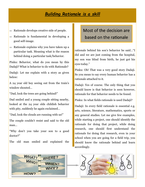### *Building Rationale is a skill*

- $\Rightarrow$  Rationale develops creative side of people.
- $\Rightarrow$  Rationale is fundamental in developing a good self-image.
- $\Rightarrow$  Rationale explains why you have taken up a particular task. Meaning what is the reason behind doing a particular task/behavior.

Pinku: Behavior, what do you mean by this Dadaii? What is behavior to do with Rationale?

Dadaji: Let me explain with a story as given below:

A 24 year old boy seeing out from the train's window shouted…

"Dad, look the trees are going behind!"

Dad smiled and a young couple sitting nearby, looked at the 24 year olds childish behavior with pity, suddenly he again exclaimed...

"Dad, look the clouds are running with us!"

The couple couldn't resist and said to the old man…

"Why don't you take your son to a good doctor?"

The old man smiled and explained the

## Most of the decision are based on the rationale

rationale behind his son's behavior he said…"I did and we are just coming from the hospital, my son was blind from birth, he just got his eyes today."

Pinku: Oh! That was a very good story Dadaji. So you mean to say every human behavior has a rationale attached to it.

Dadaji: Yes of course. The only thing that you should know is that behavior is seen however, rationale for that behavior needs to be found.

Pinku: In what fields rationale is used Dadaji?

Dadaji: In every field rationale is essential e.g. arts, science, literature, mathematics, sports or any general studies. Let me give few examples, while starting a project, one should identify the rationale for doing that project, while doing research, one should first understand the rationale for doing that research, even in your school when you are going for a field trip, you should know the rationale behind and learn accordingly.



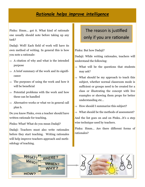#### *Rationale helps improve intelligence*

Pinku: Hmm… got it. What kind of rationale one usually should note before taking up any task?

Dadaji: Well! Each field of work will have its own method of writing. In general this is how you note a rationale:

- $\Rightarrow$  A citation of why and what is the intended purpose
- $\Rightarrow$  A brief summary of the work and its significance
- $\Rightarrow$  The purposes of using the work and how it will be beneficial
- $\Rightarrow$  Potential problems with the work and how these can be handled
- $\Rightarrow$  Alternative works or what we in general call plan b.

Do you know Pinku, even a teacher should have written rationale for teaching.

Pinku: What! What do you mean Dadaji?

Dadaji: Teachers must also write rationales before they start teaching. Writing rationales will help improve teachers approach and methodology of teaching.

# The reason is justified only if you are rationale

Pinku: But how Dadaji?

Dadaji: While writing rationales, teachers will understand the following:

- $\Rightarrow$  What will be the questions that students may ask?
- $\Rightarrow$  What should be my approach to teach this subject, whether normal classroom mode is sufficient or groups need to be created for a class or illustrating the concept with live examples or showing them props for better understanding etc…
- $\Rightarrow$  How should I summarize this subject?
- $\Rightarrow$  What should be the methods of assessment?

And the list goes on and on Pinku…It's a step wise technique used by teachers.

Pinku: Hmm… Are there different forms of rationales?



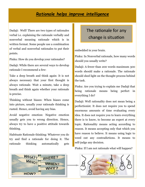#### *Rationale helps improve intelligence*

Dadaji: Well! There are two types of rationales verbal i.e. explaining the rationale verbally and nonverbal meaning rationale which is in written format. Some people use a combination of verbal and nonverbal rationales to put their points.

Pinku: How do you develop your rationales?

Dadaji: While there are several ways to develop rationale I recommend a few:

Take a deep breath and think again: It is not always necessary that your first thought is always rationale. Wait a minute, take a deep breath and think again whether your rationale is precise.

Thinking without biases: When biases come into picture, usually your rationale thinking is rusted. Hence, avoid having any bias.

Avoid negative emotion: Negative emotion usually gets you to wrong direction. Hence, always try to have a positive attitude towards thinking.

Habituate Rationale thinking: Whatever you do try and find a rationale for doing it. The rationale thinking automatically gets

# The rationale for any change is situation

embedded in your brain.

Pinku: In Nonverbal rationale, how many words should you usually write?

Dadaji: A fewer than 200 words maximum 300 words should make a rationale. The rationale should shed light on the thought process behind the task.

Pinku: Are you trying to explain me Dadaji that being rationale means being perfect in everything I do?

Dadaji: Well rationality does not mean being a perfectionist. It does not require you to spend enormous amounts of time evaluating every idea. It does not require you to learn everything there is to know, to become an expert at every topic. Rationality means acting according to reason. It means accepting only that which you have reason to believe. It means using logic to weed out any contradictions. It means to self-judge any decision.

Pinku: If I am not rationale what will happen?

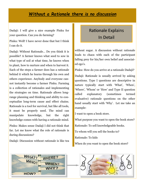#### *Without a Rationale there is no discussion*

Dadaji: I will give a nice example Pinku for your question. Can you do farming?

Pinku: Well! I have never done that but I think I can do it.

Dadaji: Without Rationale… Do you think it is possible? A farmer knows what seed to sow in what type of soil at what time, he knows when to plant, how to nurture and when to harvest it. Each of the steps a farmer does has a rationale behind it which he learns through his own and others experience. Anybody and everyone cannot instantly become a farmer Pinku. Farming is a collection of rationales and implementing the strategies on time. Rationale allows longrange planning and thinking and ability to conceptualize long-term cause and effect chains. Rationale is a tool for survival, but like all tools, it must be properly used. The mind can manipulate knowledge, but the right knowledge comes with having a rationale mind.

Pinku: Makes sense Dadaji I did not think that far. Let me know what the role of rationale is during discussions?

Dadaji: Discussion without rationale is like tea

# Rationale Explains In Detail

without sugar. A discussion without rationale leads to chaos with each of the participant falling prey for his/her own belief and associated ego's.

Pinku: How do you arrive at a rationale Dadaji?

Dadaji: Rationale is usually arrived by asking questions. Type I questions are descriptive in nature typically start with 'What', 'When', 'Where', 'Whom' or 'How' and Type II question called explanatory (sometimes termed evaluative) rationale questions on the other hand usually start with 'Why'. Let me take an example:

I want to open a book store.

What purpose you want to open the book store?

Rationale: To sell knowledgeable books.

To whom will you sell the books to?

Rationale: To kids

When do you want to open the book store?